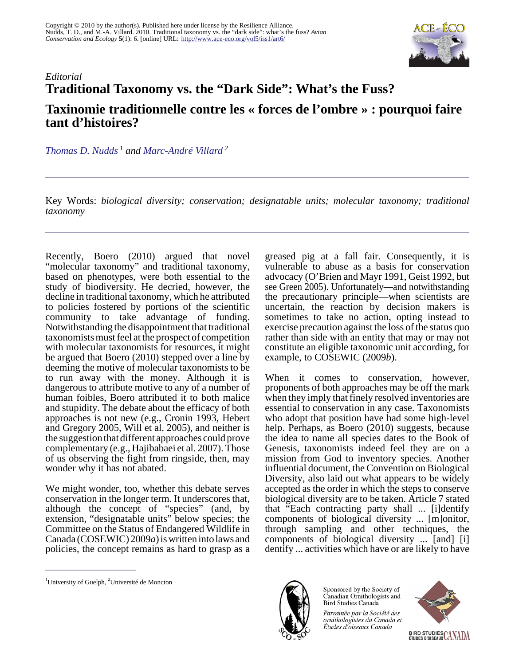

## *Editorial* **Traditional Taxonomy vs. the "Dark Side": What's the Fuss? Taxinomie traditionnelle contre les « forces de l'ombre » : pourquoi faire tant d'histoires?**

*[Thomas D. Nudds](mailto:tnudds@uoguelph.ca)<sup>1</sup> and [Marc-André Villard](mailto:marc-andre.villard@umoncton.ca)<sup>2</sup>*

Key Words: *biological diversity; conservation; designatable units; molecular taxonomy; traditional taxonomy*

Recently, Boero (2010) argued that novel "molecular taxonomy" and traditional taxonomy, based on phenotypes, were both essential to the study of biodiversity. He decried, however, the decline in traditional taxonomy, which he attributed to policies fostered by portions of the scientific community to take advantage of funding. Notwithstanding the disappointment that traditional taxonomists must feel at the prospect of competition with molecular taxonomists for resources, it might be argued that Boero (2010) stepped over a line by deeming the motive of molecular taxonomists to be to run away with the money. Although it is dangerous to attribute motive to any of a number of human foibles, Boero attributed it to both malice and stupidity. The debate about the efficacy of both approaches is not new (e.g., Cronin 1993, Hebert and Gregory 2005, Will et al. 2005), and neither is the suggestion that different approaches could prove complementary (e.g., Hajibabaei et al. 2007). Those of us observing the fight from ringside, then, may wonder why it has not abated.

We might wonder, too, whether this debate serves conservation in the longer term. It underscores that, although the concept of "species" (and, by extension, "designatable units" below species; the Committee on the Status of Endangered Wildlife in Canada (COSEWIC) 2009*a*) is written into laws and policies, the concept remains as hard to grasp as a

greased pig at a fall fair. Consequently, it is vulnerable to abuse as a basis for conservation advocacy (O'Brien and Mayr 1991, Geist 1992, but see Green 2005). Unfortunately—and notwithstanding the precautionary principle—when scientists are uncertain, the reaction by decision makers is sometimes to take no action, opting instead to exercise precaution against the loss of the status quo rather than side with an entity that may or may not constitute an eligible taxonomic unit according, for example, to COSEWIC (2009*b*).

When it comes to conservation, however, proponents of both approaches may be off the mark when they imply that finely resolved inventories are essential to conservation in any case. Taxonomists who adopt that position have had some high-level help. Perhaps, as Boero (2010) suggests, because the idea to name all species dates to the Book of Genesis, taxonomists indeed feel they are on a mission from God to inventory species. Another influential document, the Convention on Biological Diversity, also laid out what appears to be widely accepted as the order in which the steps to conserve biological diversity are to be taken. Article 7 stated that "Each contracting party shall ... [i]dentify components of biological diversity ... [m]onitor, through sampling and other techniques, the components of biological diversity ... [and] [i] dentify ... activities which have or are likely to have



Canadian Ornithologists and Bird Studies Canada Parrainée par la Société des ornithologistes du Canada et Études d'oiseaux Canada

Sponsored by the Society of



<sup>&</sup>lt;sup>1</sup>University of Guelph,  ${}^{2}$ Université de Moncton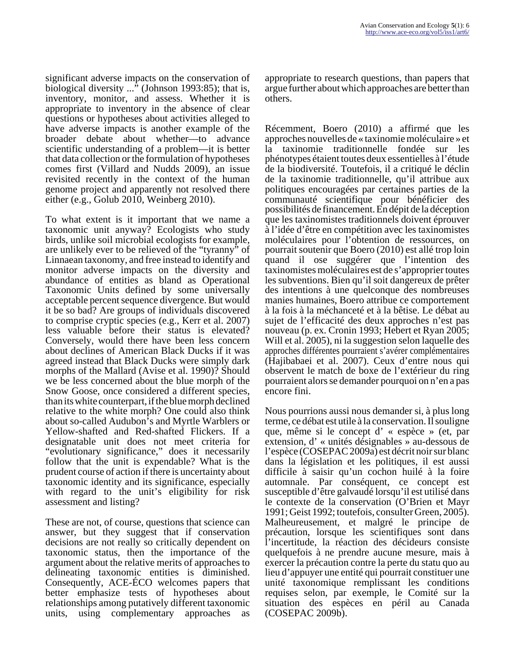significant adverse impacts on the conservation of biological diversity ..." (Johnson 1993:85); that is, inventory, monitor, and assess. Whether it is appropriate to inventory in the absence of clear questions or hypotheses about activities alleged to have adverse impacts is another example of the broader debate about whether—to advance scientific understanding of a problem—it is better that data collection or the formulation of hypotheses comes first (Villard and Nudds 2009), an issue revisited recently in the context of the human genome project and apparently not resolved there either (e.g., Golub 2010, Weinberg 2010).

To what extent is it important that we name a taxonomic unit anyway? Ecologists who study birds, unlike soil microbial ecologists for example, are unlikely ever to be relieved of the "tyranny" of Linnaean taxonomy, and free instead to identify and monitor adverse impacts on the diversity and abundance of entities as bland as Operational Taxonomic Units defined by some universally acceptable percent sequence divergence. But would it be so bad? Are groups of individuals discovered to comprise cryptic species (e.g., Kerr et al. 2007) less valuable before their status is elevated? Conversely, would there have been less concern about declines of American Black Ducks if it was agreed instead that Black Ducks were simply dark morphs of the Mallard (Avise et al. 1990)? Should we be less concerned about the blue morph of the Snow Goose, once considered a different species, than its white counterpart, if the blue morph declined relative to the white morph? One could also think about so-called Audubon's and Myrtle Warblers or Yellow-shafted and Red-shafted Flickers. If a designatable unit does not meet criteria for "evolutionary significance," does it necessarily follow that the unit is expendable? What is the prudent course of action if there is uncertainty about taxonomic identity and its significance, especially with regard to the unit's eligibility for risk assessment and listing?

These are not, of course, questions that science can answer, but they suggest that if conservation decisions are not really so critically dependent on taxonomic status, then the importance of the argument about the relative merits of approaches to delineating taxonomic entities is diminished. Consequently, ACE-ÉCO welcomes papers that better emphasize tests of hypotheses about relationships among putatively different taxonomic units, using complementary approaches as

appropriate to research questions, than papers that argue further about which approaches are better than others.

Récemment, Boero (2010) a affirmé que les approches nouvelles de « taxinomie moléculaire » et la taxinomie traditionnelle fondée sur les phénotypes étaient toutes deux essentielles à l'étude de la biodiversité. Toutefois, il a critiqué le déclin de la taxinomie traditionnelle, qu'il attribue aux politiques encouragées par certaines parties de la communauté scientifique pour bénéficier des possibilités de financement. En dépit de la déception que les taxinomistes traditionnels doivent éprouver à l'idée d'être en compétition avec les taxinomistes moléculaires pour l'obtention de ressources, on pourrait soutenir que Boero (2010) est allé trop loin quand il ose suggérer que l'intention des taxinomistes moléculaires est de s'approprier toutes les subventions. Bien qu'il soit dangereux de prêter des intentions à une quelconque des nombreuses manies humaines, Boero attribue ce comportement à la fois à la méchanceté et à la bêtise. Le débat au sujet de l'efficacité des deux approches n'est pas nouveau (p. ex. Cronin 1993; Hebert et Ryan 2005; Will et al. 2005), ni la suggestion selon laquelle des approches différentes pourraient s'avérer complémentaires (Hajibabaei et al. 2007). Ceux d'entre nous qui observent le match de boxe de l'extérieur du ring pourraient alors se demander pourquoi on n'en a pas encore fini.

Nous pourrions aussi nous demander si, à plus long terme, ce débat est utile à la conservation. Il souligne que, même si le concept d' « espèce » (et, par extension, d' « unités désignables » au-dessous de l'espèce (COSEPAC 2009a) est décrit noir sur blanc dans la législation et les politiques, il est aussi difficile à saisir qu'un cochon huilé à la foire automnale. Par conséquent, ce concept est susceptible d'être galvaudé lorsqu'il est utilisé dans le contexte de la conservation (O'Brien et Mayr 1991; Geist 1992; toutefois, consulter Green, 2005). Malheureusement, et malgré le principe de précaution, lorsque les scientifiques sont dans l'incertitude, la réaction des décideurs consiste quelquefois à ne prendre aucune mesure, mais à exercer la précaution contre la perte du statu quo au lieu d'appuyer une entité qui pourrait constituer une unité taxonomique remplissant les conditions requises selon, par exemple, le Comité sur la situation des espèces en péril au Canada (COSEPAC 2009b).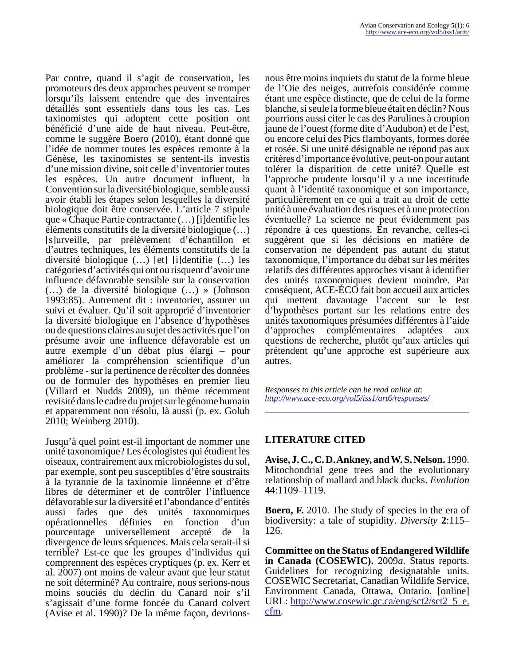Par contre, quand il s'agit de conservation, les promoteurs des deux approches peuvent se tromper lorsqu'ils laissent entendre que des inventaires détaillés sont essentiels dans tous les cas. Les taxinomistes qui adoptent cette position ont bénéficié d'une aide de haut niveau. Peut-être, comme le suggère Boero (2010), étant donné que l'idée de nommer toutes les espèces remonte à la Génèse, les taxinomistes se sentent-ils investis d'une mission divine, soit celle d'inventorier toutes les espèces. Un autre document influent, la Convention sur la diversité biologique, semble aussi avoir établi les étapes selon lesquelles la diversité biologique doit être conservée. L'article 7 stipule que « Chaque Partie contractante (…) [i]dentifie les éléments constitutifs de la diversité biologique (…) [s]urveille, par prélèvement d'échantillon et d'autres techniques, les éléments constitutifs de la diversité biologique (…) [et] [i]dentifie (…) les catégories d'activités qui ont ou risquent d'avoir une influence défavorable sensible sur la conservation (…) de la diversité biologique (…) » (Johnson 1993:85). Autrement dit : inventorier, assurer un suivi et évaluer. Qu'il soit approprié d'inventorier la diversité biologique en l'absence d'hypothèses ou de questions claires au sujet des activités que l'on présume avoir une influence défavorable est un autre exemple d'un débat plus élargi – pour améliorer la compréhension scientifique d'un problème - sur la pertinence de récolter des données ou de formuler des hypothèses en premier lieu (Villard et Nudds 2009), un thème récemment revisité dans le cadre du projet sur le génome humain et apparemment non résolu, là aussi (p. ex. Golub 2010; Weinberg 2010).

Jusqu'à quel point est-il important de nommer une unité taxonomique? Les écologistes qui étudient les oiseaux, contrairement aux microbiologistes du sol, par exemple, sont peu susceptibles d'être soustraits à la tyrannie de la taxinomie linnéenne et d'être libres de déterminer et de contrôler l'influence défavorable sur la diversité et l'abondance d'entités aussi fades que des unités taxonomiques opérationnelles définies en fonction d'un pourcentage universellement accepté de la divergence de leurs séquences. Mais cela serait-il si terrible? Est-ce que les groupes d'individus qui comprennent des espèces cryptiques (p. ex. Kerr et al. 2007) ont moins de valeur avant que leur statut ne soit déterminé? Au contraire, nous serions-nous moins souciés du déclin du Canard noir s'il s'agissait d'une forme foncée du Canard colvert (Avise et al. 1990)? De la même façon, devrionsnous être moins inquiets du statut de la forme bleue de l'Oie des neiges, autrefois considérée comme étant une espèce distincte, que de celui de la forme blanche, si seule la forme bleue était en déclin? Nous pourrions aussi citer le cas des Parulines à croupion jaune de l'ouest (forme dite d'Audubon) et de l'est, ou encore celui des Pics flamboyants, formes dorée et rosée. Si une unité désignable ne répond pas aux critères d'importance évolutive, peut-on pour autant tolérer la disparition de cette unité? Quelle est l'approche prudente lorsqu'il y a une incertitude quant à l'identité taxonomique et son importance, particulièrement en ce qui a trait au droit de cette unité à une évaluation des risques et à une protection éventuelle? La science ne peut évidemment pas répondre à ces questions. En revanche, celles-ci suggèrent que si les décisions en matière de conservation ne dépendent pas autant du statut taxonomique, l'importance du débat sur les mérites relatifs des différentes approches visant à identifier des unités taxonomiques devient moindre. Par conséquent, ACE-ÉCO fait bon accueil aux articles qui mettent davantage l'accent sur le test d'hypothèses portant sur les relations entre des unités taxonomiques présumées différentes à l'aide d'approches complémentaires adaptées aux questions de recherche, plutôt qu'aux articles qui prétendent qu'une approche est supérieure aux autres.

*Responses to this article can be read online at: <http://www.ace-eco.org/vol5/iss1/art6/responses/>*

## **LITERATURE CITED**

**Avise, J. C., C. D. Ankney, and W. S. Nelson.** 1990. Mitochondrial gene trees and the evolutionary relationship of mallard and black ducks. *Evolution* **44**:1109–1119.

**Boero, F.** 2010. The study of species in the era of biodiversity: a tale of stupidity. *Diversity* **2**:115– 126.

**Committee on the Status of Endangered Wildlife in Canada (COSEWIC).** 2009*a*. Status reports. Guidelines for recognizing designatable units. COSEWIC Secretariat, Canadian Wildlife Service, Environment Canada, Ottawa, Ontario. [online] URL: [http://www.cosewic.gc.ca/eng/sct2/sct2\\_5\\_e.](http://www.cosewic.gc.ca/eng/sct2/sct2_5_e.cfm) [cfm.](http://www.cosewic.gc.ca/eng/sct2/sct2_5_e.cfm)